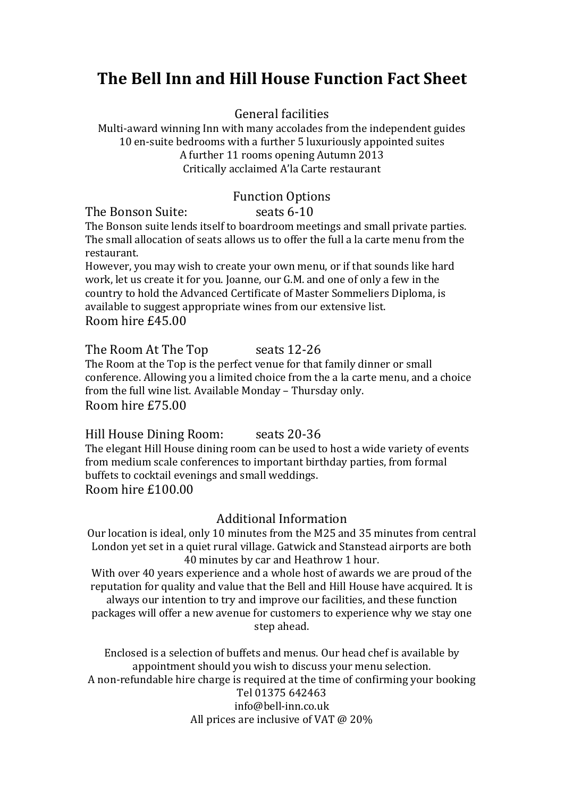# **The Bell Inn and Hill House Function Fact Sheet**

General facilities

Multi-award winning Inn with many accolades from the independent guides 10 en-suite bedrooms with a further 5 luxuriously appointed suites A further 11 rooms opening Autumn 2013 Critically acclaimed A'la Carte restaurant

# Function Options<br>seats 6-10

The Bonson Suite: Seats 6-10 The Bonson suite lends itself to boardroom meetings and small private parties. The small allocation of seats allows us to offer the full a la carte menu from the restaurant.

However, you may wish to create your own menu, or if that sounds like hard work, let us create it for you. Joanne, our G.M. and one of only a few in the country to hold the Advanced Certificate of Master Sommeliers Diploma, is available to suggest appropriate wines from our extensive list. Room hire £45.00

The Room At The Top seats 12-26 The Room at the Top is the perfect venue for that family dinner or small conference. Allowing you a limited choice from the a la carte menu, and a choice from the full wine list. Available Monday – Thursday only. Room hire £75.00

Hill House Dining Room: seats 20-36 The elegant Hill House dining room can be used to host a wide variety of events from medium scale conferences to important birthday parties, from formal buffets to cocktail evenings and small weddings. Room hire £100.00

#### Additional Information

Our location is ideal, only 10 minutes from the M25 and 35 minutes from central London yet set in a quiet rural village. Gatwick and Stanstead airports are both 40 minutes by car and Heathrow 1 hour.

With over 40 years experience and a whole host of awards we are proud of the reputation for quality and value that the Bell and Hill House have acquired. It is always our intention to try and improve our facilities, and these function packages will offer a new avenue for customers to experience why we stay one

step ahead.

Enclosed is a selection of buffets and menus. Our head chef is available by appointment should you wish to discuss your menu selection. A non-refundable hire charge is required at the time of confirming your booking Tel 01375 642463 info@bell-inn.co.uk All prices are inclusive of VAT @ 20%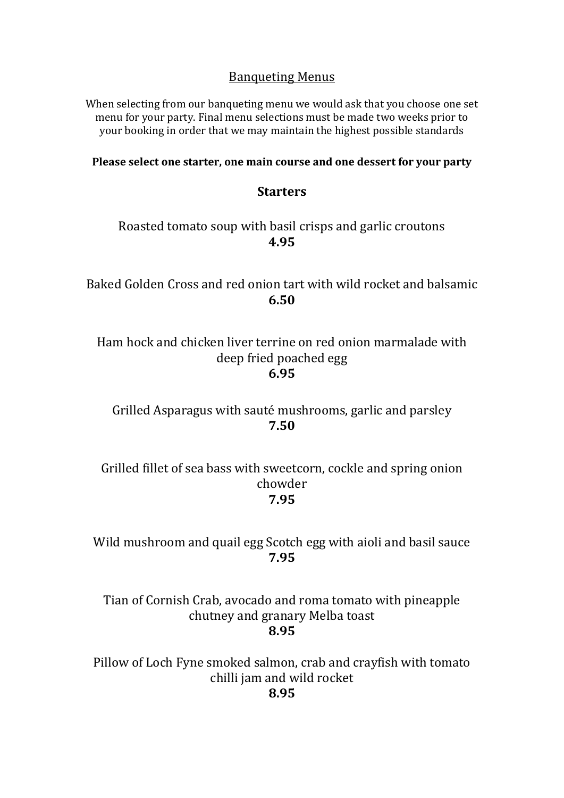# Banqueting Menus

When selecting from our banqueting menu we would ask that you choose one set menu for your party. Final menu selections must be made two weeks prior to your booking in order that we may maintain the highest possible standards

**Please select one starter, one main course and one dessert for your party**

# **Starters**

# Roasted tomato soup with basil crisps and garlic croutons **4.95**

Baked Golden Cross and red onion tart with wild rocket and balsamic **6.50**

Ham hock and chicken liver terrine on red onion marmalade with deep fried poached egg **6.95**

Grilled Asparagus with sauté mushrooms, garlic and parsley **7.50**

Grilled fillet of sea bass with sweetcorn, cockle and spring onion chowder **7.95**

Wild mushroom and quail egg Scotch egg with aioli and basil sauce **7.95**

Tian of Cornish Crab, avocado and roma tomato with pineapple chutney and granary Melba toast **8.95**

Pillow of Loch Fyne smoked salmon, crab and crayfish with tomato chilli jam and wild rocket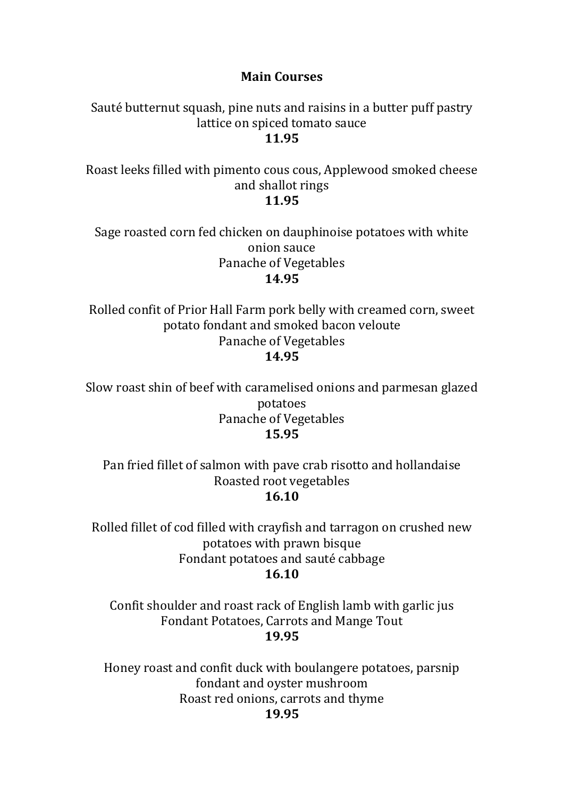# **Main Courses**

Sauté butternut squash, pine nuts and raisins in a butter puff pastry lattice on spiced tomato sauce **11.95**

Roast leeks filled with pimento cous cous, Applewood smoked cheese and shallot rings **11.95**

Sage roasted corn fed chicken on dauphinoise potatoes with white onion sauce Panache of Vegetables **14.95**

Rolled confit of Prior Hall Farm pork belly with creamed corn, sweet potato fondant and smoked bacon veloute Panache of Vegetables **14.95**

Slow roast shin of beef with caramelised onions and parmesan glazed potatoes Panache of Vegetables **15.95**

Pan fried fillet of salmon with pave crab risotto and hollandaise Roasted root vegetables **16.10**

Rolled fillet of cod filled with crayfish and tarragon on crushed new potatoes with prawn bisque Fondant potatoes and sauté cabbage **16.10**

Confit shoulder and roast rack of English lamb with garlic jus Fondant Potatoes, Carrots and Mange Tout **19.95**

Honey roast and confit duck with boulangere potatoes, parsnip fondant and oyster mushroom Roast red onions, carrots and thyme **19.95**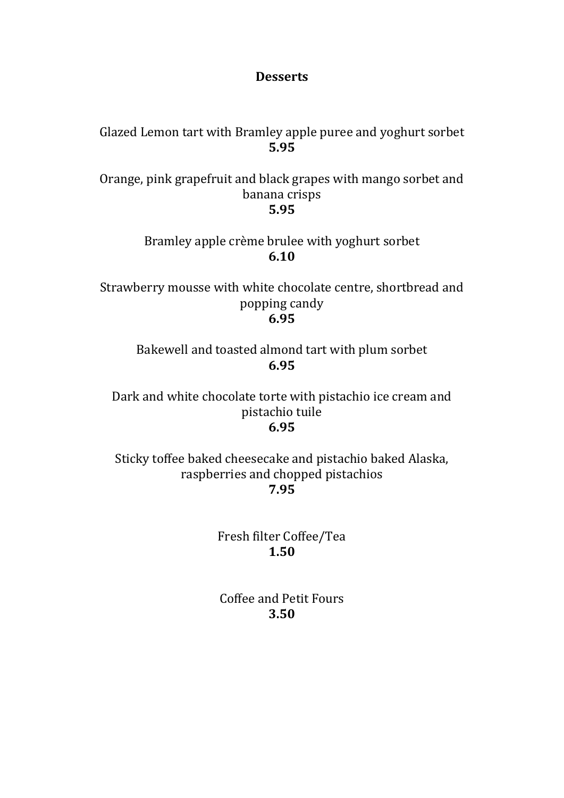## **Desserts**

Glazed Lemon tart with Bramley apple puree and yoghurt sorbet **5.95**

Orange, pink grapefruit and black grapes with mango sorbet and banana crisps **5.95**

> Bramley apple crème brulee with yoghurt sorbet **6.10**

Strawberry mousse with white chocolate centre, shortbread and popping candy **6.95**

Bakewell and toasted almond tart with plum sorbet **6.95**

Dark and white chocolate torte with pistachio ice cream and pistachio tuile **6.95**

Sticky toffee baked cheesecake and pistachio baked Alaska, raspberries and chopped pistachios **7.95**

> Fresh filter Coffee/Tea **1.50**

Coffee and Petit Fours **3.50**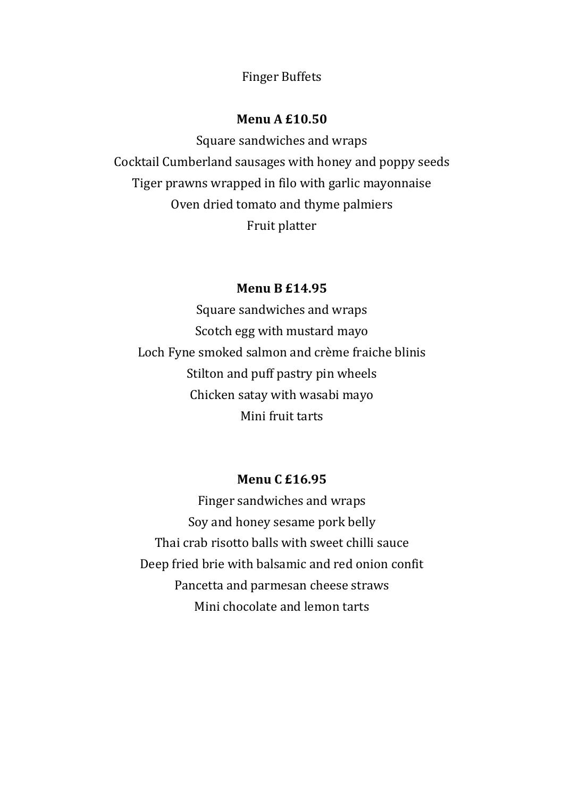Finger Buffets

#### **Menu A £10.50**

Square sandwiches and wraps Cocktail Cumberland sausages with honey and poppy seeds Tiger prawns wrapped in filo with garlic mayonnaise Oven dried tomato and thyme palmiers Fruit platter

## **Menu B £14.95**

Square sandwiches and wraps Scotch egg with mustard mayo Loch Fyne smoked salmon and crème fraiche blinis Stilton and puff pastry pin wheels Chicken satay with wasabi mayo Mini fruit tarts

## **Menu C £16.95**

Finger sandwiches and wraps Soy and honey sesame pork belly Thai crab risotto balls with sweet chilli sauce Deep fried brie with balsamic and red onion confit Pancetta and parmesan cheese straws Mini chocolate and lemon tarts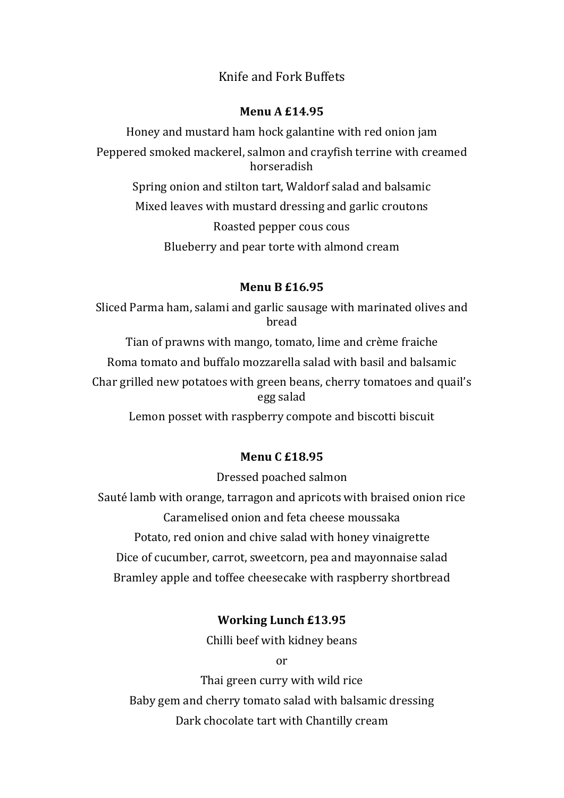# Knife and Fork Buffets

#### **Menu A £14.95**

Honey and mustard ham hock galantine with red onion jam Peppered smoked mackerel, salmon and crayfish terrine with creamed horseradish Spring onion and stilton tart, Waldorf salad and balsamic Mixed leaves with mustard dressing and garlic croutons Roasted pepper cous cous Blueberry and pear torte with almond cream

#### **Menu B £16.95**

Sliced Parma ham, salami and garlic sausage with marinated olives and bread

Tian of prawns with mango, tomato, lime and crème fraiche Roma tomato and buffalo mozzarella salad with basil and balsamic Char grilled new potatoes with green beans, cherry tomatoes and quail's egg salad

Lemon posset with raspberry compote and biscotti biscuit

#### **Menu C £18.95**

Dressed poached salmon

Sauté lamb with orange, tarragon and apricots with braised onion rice Caramelised onion and feta cheese moussaka Potato, red onion and chive salad with honey vinaigrette Dice of cucumber, carrot, sweetcorn, pea and mayonnaise salad Bramley apple and toffee cheesecake with raspberry shortbread

#### **Working Lunch £13.95**

Chilli beef with kidney beans

or

Thai green curry with wild rice Baby gem and cherry tomato salad with balsamic dressing Dark chocolate tart with Chantilly cream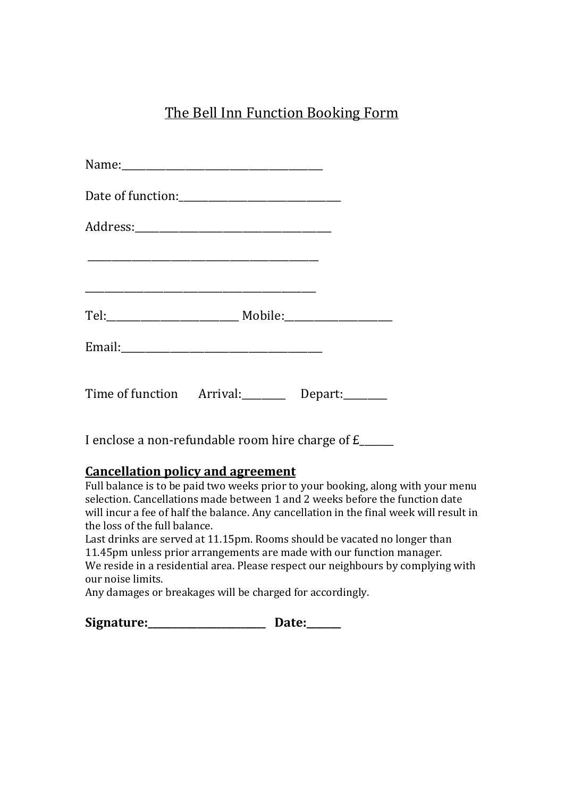# The Bell Inn Function Booking Form

| Name: 1980 - 1980 - 1980 - 1980 - 1980 - 1980 - 1980 - 1980 - 1980 - 1980 - 1980 - 1980 - 1980 - 1980 - 1980 - |                                                               |
|----------------------------------------------------------------------------------------------------------------|---------------------------------------------------------------|
|                                                                                                                |                                                               |
|                                                                                                                |                                                               |
|                                                                                                                |                                                               |
|                                                                                                                |                                                               |
|                                                                                                                |                                                               |
|                                                                                                                | Time of function Arrival: Depart:                             |
|                                                                                                                | I enclose a non-refundable room hire charge of $f_{\text{2}}$ |

# **Cancellation policy and agreement**

Full balance is to be paid two weeks prior to your booking, along with your menu selection. Cancellations made between 1 and 2 weeks before the function date will incur a fee of half the balance. Any cancellation in the final week will result in the loss of the full balance.

Last drinks are served at 11.15pm. Rooms should be vacated no longer than 11.45pm unless prior arrangements are made with our function manager. We reside in a residential area. Please respect our neighbours by complying with our noise limits.

Any damages or breakages will be charged for accordingly.

| Signature: | Date: |
|------------|-------|
|------------|-------|